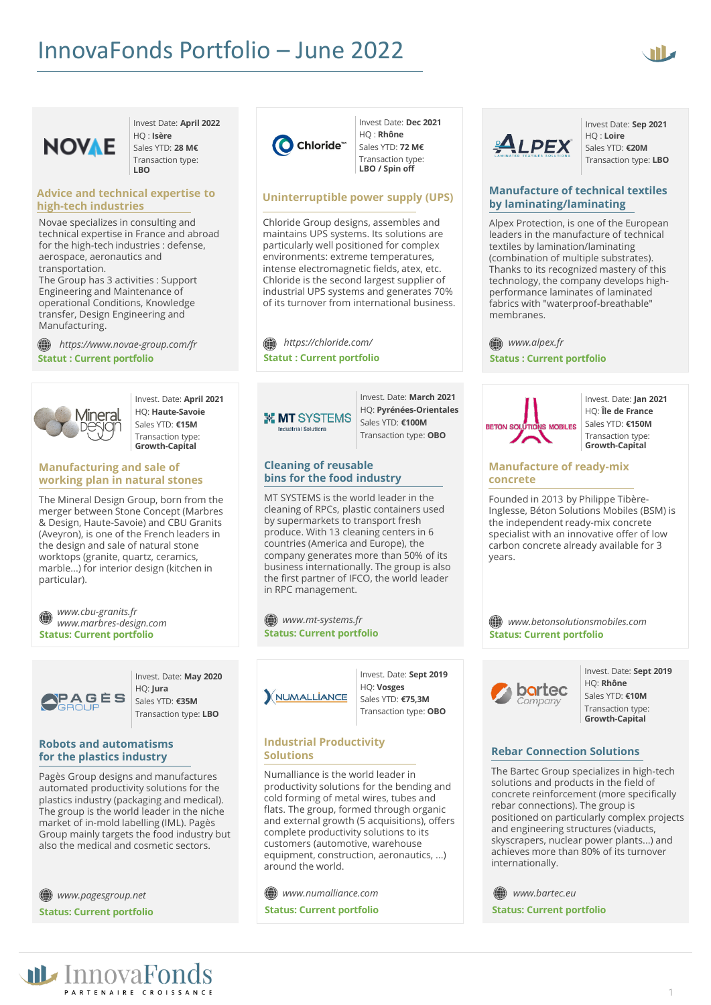



Invest Date: **April 2022** HQ : **Isère** Sales YTD: **28 M€** Transaction type:

#### **Advice and technical expertise to high-tech industries**

**LBO**

Novae specializes in consulting and technical expertise in France and abroad for the high-tech industries : defense, aerospace, aeronautics and transportation.

The Group has 3 activities : Support Engineering and Maintenance of operational Conditions, Knowledge transfer, Design Engineering and Manufacturing.

**Statut : Current portfolio** *https://www.novae-group.com/fr*



Invest. Date: **April 2021** HQ: **Haute-Savoie** Sales YTD: **€15M** Transaction type: **Growth-Capital**

## **Manufacturing and sale of working plan in natural stones**

The Mineral Design Group, born from the merger between Stone Concept (Marbres & Design, Haute-Savoie) and CBU Granits (Aveyron), is one of the French leaders in the design and sale of natural stone worktops (granite, quartz, ceramics, marble...) for interior design (kitchen in particular).

*www.cbu-granits.fr* (() *www.marbres-design.com* **Status: Current portfolio**



Invest. Date: **May 2020** HQ: **Jura** Sales YTD: **€35M** Transaction type: **LBO**

#### **Robots and automatisms for the plastics industry**

Pagès Group designs and manufactures automated productivity solutions for the plastics industry (packaging and medical). The group is the world leader in the niche market of in-mold labelling (IML). Pagès Group mainly targets the food industry but also the medical and cosmetic sectors.

*www.pagesgroup.net* **Status: Current portfolio**



Invest Date: **Dec 2021** HQ : **Rhône** Sales YTD: **72 M€** Transaction type: **LBO / Spin off** 

## **Uninterruptible power supply (UPS)**

Chloride Group designs, assembles and maintains UPS systems. Its solutions are particularly well positioned for complex environments: extreme temperatures, intense electromagnetic fields, atex, etc. Chloride is the second largest supplier of industrial UPS systems and generates 70% of its turnover from international business.

*https://chloride.com/* **Statut : Current portfolio**

**X MT SYSTEMS Industrial Solutions** 

Invest. Date: **March 2021** HQ: **Pyrénées-Orientales** Sales YTD: **€100M** Transaction type: **OBO**

## **Cleaning of reusable bins for the food industry**

MT SYSTEMS is the world leader in the cleaning of RPCs, plastic containers used by supermarkets to transport fresh produce. With 13 cleaning centers in 6 countries (America and Europe), the company generates more than 50% of its business internationally. The group is also the first partner of IFCO, the world leader in RPC management.

*www.mt-systems.fr* **Status: Current portfolio**



Invest. Date: **Sept 2019** HQ: **Vosges** Sales YTD: **€75,3M** Transaction type: **OBO**

#### **Industrial Productivity Solutions**

Numalliance is the world leader in productivity solutions for the bending and cold forming of metal wires, tubes and flats. The group, formed through organic and external growth (5 acquisitions), offers complete productivity solutions to its customers (automotive, warehouse equipment, construction, aeronautics, ...) around the world.

*www.numalliance.com* **Status: Current portfolio**



Invest Date: **Sep 2021** HQ : **Loire** Sales YTD: **€20M** Transaction type: **LBO**

## **Manufacture of technical textiles by laminating/laminating**

Alpex Protection, is one of the European leaders in the manufacture of technical textiles by lamination/laminating (combination of multiple substrates). Thanks to its recognized mastery of this technology, the company develops highperformance laminates of laminated fabrics with "waterproof-breathable" membranes.

*www.alpex.fr*

**Status : Current portfolio**



Invest. Date: **Jan 2021** HQ: **Île de France** Sales YTD: **€150M** Transaction type: **Growth-Capital**

# **Manufacture of ready-mix concrete**

Founded in 2013 by Philippe Tibère-Inglesse, Béton Solutions Mobiles (BSM) is the independent ready-mix concrete specialist with an innovative offer of low carbon concrete already available for 3 years.

*www.betonsolutionsmobiles.com* **Status: Current portfolio**



Invest. Date: **Sept 2019** HQ: **Rhône** Sales YTD: **€10M** Transaction type: **Growth-Capital**

# **Rebar Connection Solutions**

The Bartec Group specializes in high-tech solutions and products in the field of concrete reinforcement (more specifically rebar connections). The group is positioned on particularly complex projects and engineering structures (viaducts, skyscrapers, nuclear power plants...) and achieves more than 80% of its turnover internationally.

*www.bartec.eu* **Status: Current portfolio**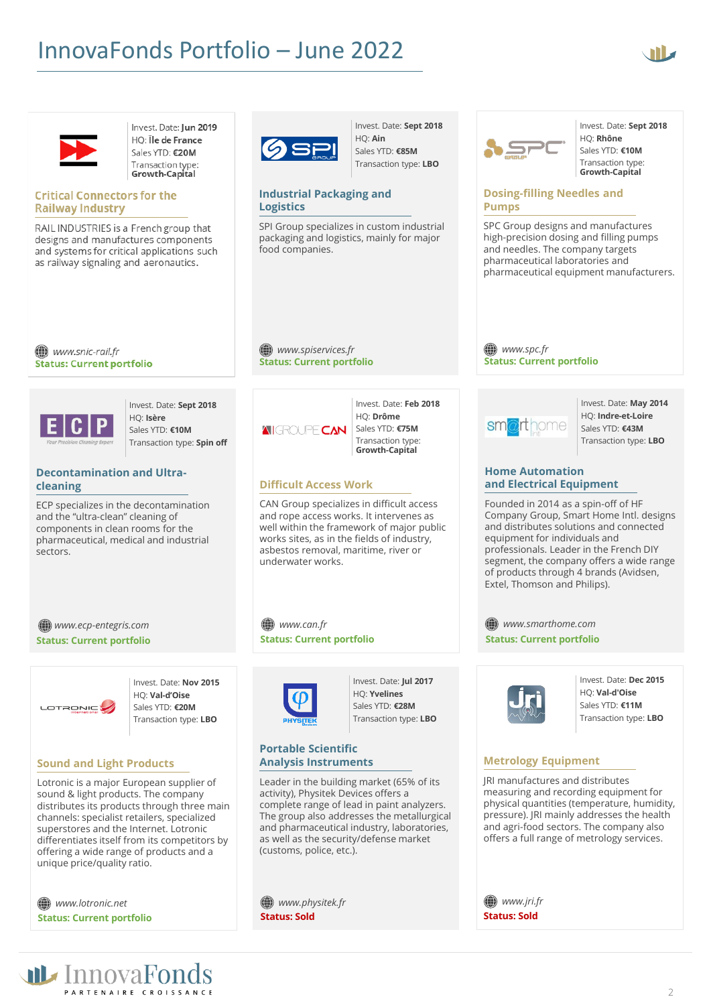# InnovaFonds Portfolio – June 2022



Invest. Date: **Sept 2018**

HQ: **Rhône** Sales YTD: **€10M** Transaction type: **Growth-Capital**



Invest. Date: Jun 2019 HO: Île de France Sales YTD: €20M Transaction type: Growth-Capital

## **Critical Connectors for the Railway Industry**

RAIL INDUSTRIES is a French group that designs and manufactures components and systems for critical applications such as railway signaling and aeronautics.



Invest. Date: **Sept 2018** HQ: **Ain** Sales YTD: **€85M** Transaction type: **LBO**

#### **Industrial Packaging and Logistics**

SPI Group specializes in custom industrial packaging and logistics, mainly for major food companies.

(∰) www.snic-rail.fr **Status: Current portfolio** 



Invest. Date: **Sept 2018** HQ: **Isère** Sales YTD: **€10M** Transaction type: **Spin off**

## **Decontamination and Ultracleaning**

ECP specializes in the decontamination and the "ultra-clean" cleaning of components in clean rooms for the pharmaceutical, medical and industrial sectors.

*www.ecp-entegris.com* **Status: Current portfolio**



Invest. Date: **Nov 2015** HQ: **Val-d'Oise** Sales YTD: **€20M** Transaction type: **LBO**

## **Sound and Light Products**

Lotronic is a major European supplier of sound & light products. The company distributes its products through three main channels: specialist retailers, specialized superstores and the Internet. Lotronic differentiates itself from its competitors by offering a wide range of products and a unique price/quality ratio.

*www.lotronic.net* **Status: Current portfolio** **Status: Current portfolio**

*www.spiservices.fr*

Invest. Date: **Feb 2018** HQ: **Drôme** *AIGROUPE CAN* Sales YTD: **€75M** Transaction type: **Growth-Capital**

# **Difficult Access Work**

CAN Group specializes in difficult access and rope access works. It intervenes as well within the framework of major public works sites, as in the fields of industry, asbestos removal, maritime, river or underwater works.

*www.can.fr* **Status: Current portfolio**



Invest. Date: **Jul 2017** HQ: **Yvelines** Sales YTD: **€28M** Transaction type: **LBO**

#### **Portable Scientific Analysis Instruments**

Leader in the building market (65% of its activity), Physitek Devices offers a complete range of lead in paint analyzers. The group also addresses the metallurgical and pharmaceutical industry, laboratories, as well as the security/defense market (customs, police, etc.).

*www.physitek.fr* **Status: Sold**

SPC Group designs and manufactures high-precision dosing and filling pumps and needles. The company targets pharmaceutical laboratories and pharmaceutical equipment manufacturers.

SPC

**Pumps**

**Dosing-filling Needles and** 

*www.spc.fr*  **Status: Current portfolio**



Invest. Date: **May 2014** HQ: **Indre-et-Loire** Sales YTD: **€43M** Transaction type: **LBO**

#### **Home Automation and Electrical Equipment**

Founded in 2014 as a spin-off of HF Company Group, Smart Home Intl. designs and distributes solutions and connected equipment for individuals and professionals. Leader in the French DIY segment, the company offers a wide range of products through 4 brands (Avidsen, Extel, Thomson and Philips).

*www.smarthome.com* **Status: Current portfolio**



Invest. Date: **Dec 2015** HQ: **Val-d'Oise** Sales YTD: **€11M** Transaction type: **LBO**

# **Metrology Equipment**

JRI manufactures and distributes measuring and recording equipment for physical quantities (temperature, humidity, pressure). JRI mainly addresses the health and agri-food sectors. The company also offers a full range of metrology services.

*www.jri.fr* **Status: Sold**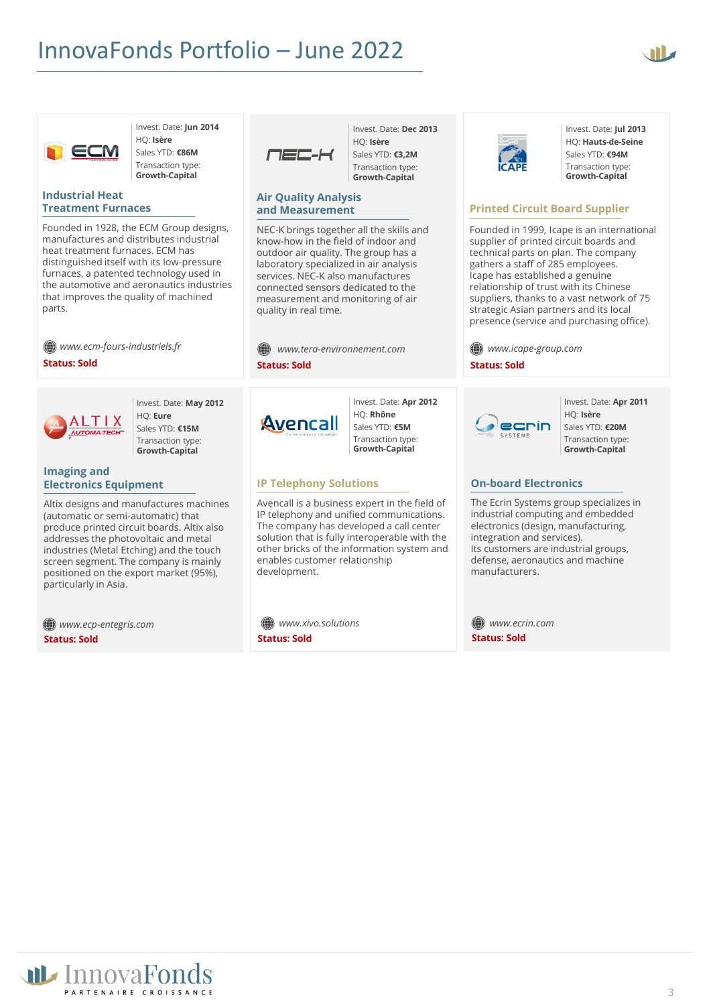



Invest. Date: **Jun 2014** HQ: **Isère** Sales YTD: **€86M** Transaction type:

**Growth-Capital**

#### **Industrial Heat Treatment Furnaces**

Founded in 1928, the ECM Group designs, manufactures and distributes industrial heat treatment furnaces. ECM has distinguished itself with its low-pressure furnaces, a patented technology used in the automotive and aeronautics industries that improves the quality of machined parts.

*www.ecm-fours-industriels.fr*

**Status: Sold**



Invest. Date: **May 2012** HQ: **Eure** Sales YTD: **€15M** Transaction type: **Growth-Capital**

# **Imaging and Electronics Equipment**

Altix designs and manufactures machines (automatic or semi-automatic) that produce printed circuit boards. Altix also addresses the photovoltaic and metal industries (Metal Etching) and the touch screen segment. The company is mainly positioned on the export market (95%), particularly in Asia.

*www.ecp-entegris.com* **Status: Sold**



HQ: **Isère** Sales YTD: **€3,2M** Transaction type: **Growth-Capital**

Invest. Date: **Dec 2013**

#### **Air Quality Analysis and Measurement**

NEC-K brings together all the skills and know-how in the field of indoor and outdoor air quality. The group has a laboratory specialized in air analysis services. NEC-K also manufactures connected sensors dedicated to the measurement and monitoring of air quality in real time.

|                     | ()) www.tera-environnement.com |
|---------------------|--------------------------------|
| <b>Status: Sold</b> |                                |



Invest. Date: **Apr 2012** HQ: **Rhône** Sales YTD: **€5M** Transaction type: **Growth-Capital**

# **IP Telephony Solutions**

Avencall is a business expert in the field of IP telephony and unified communications. The company has developed a call center solution that is fully interoperable with the other bricks of the information system and enables customer relationship development.

*www.xivo.solutions* **Status: Sold**



Invest. Date: **Jul 2013** HQ: **Hauts-de-Seine** Sales YTD: **€94M** Transaction type: **Growth-Capital**

# **Printed Circuit Board Supplier**

Founded in 1999, Icape is an international supplier of printed circuit boards and technical parts on plan. The company gathers a staff of 285 employees. Icape has established a genuine relationship of trust with its Chinese suppliers, thanks to a vast network of 75 strategic Asian partners and its local presence (service and purchasing office).

*www.icape-group.com*

**Status: Sold**



Invest. Date: **Apr 2011** HQ: **Isère** Sales YTD: **€20M** Transaction type: **Growth-Capital**

# **On-board Electronics**

The Ecrin Systems group specializes in industrial computing and embedded electronics (design, manufacturing, integration and services). Its customers are industrial groups, defense, aeronautics and machine manufacturers.

*www.ecrin.com* **Status: Sold**